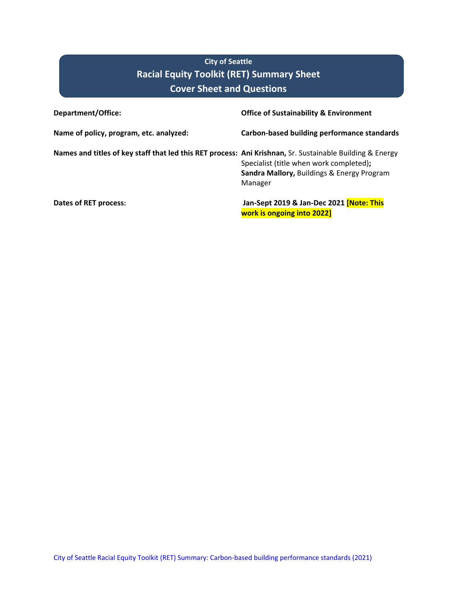# **City of Seattle Racial Equity Toolkit (RET) Summary Sheet Cover Sheet and Questions**

| <b>Department/Office:</b>                                                                                | <b>Office of Sustainability &amp; Environment</b>                                                |
|----------------------------------------------------------------------------------------------------------|--------------------------------------------------------------------------------------------------|
| Name of policy, program, etc. analyzed:                                                                  | Carbon-based building performance standards                                                      |
| Names and titles of key staff that led this RET process: Ani Krishnan, Sr. Sustainable Building & Energy | Specialist (title when work completed);<br>Sandra Mallory, Buildings & Energy Program<br>Manager |
| Dates of RET process:                                                                                    | Jan-Sept 2019 & Jan-Dec 2021 [Note: This<br>work is ongoing into 2022]                           |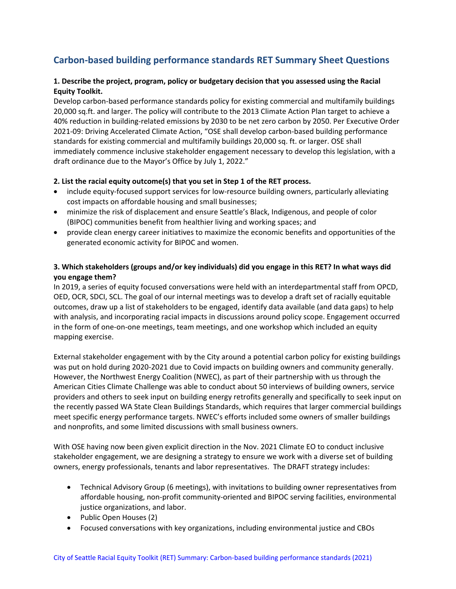# **Carbon-based building performance standards RET Summary Sheet Questions**

## **1. Describe the project, program, policy or budgetary decision that you assessed using the Racial Equity Toolkit.**

Develop carbon-based performance standards policy for existing commercial and multifamily buildings 20,000 sq.ft. and larger. The policy will contribute to the 2013 Climate Action Plan target to achieve a 40% reduction in building-related emissions by 2030 to be net zero carbon by 2050. Per Executive Order 2021-09: Driving Accelerated Climate Action, "OSE shall develop carbon-based building performance standards for existing commercial and multifamily buildings 20,000 sq. ft. or larger. OSE shall immediately commence inclusive stakeholder engagement necessary to develop this legislation, with a draft ordinance due to the Mayor's Office by July 1, 2022."

#### **2. List the racial equity outcome(s) that you set in Step 1 of the RET process.**

- include equity-focused support services for low-resource building owners, particularly alleviating cost impacts on affordable housing and small businesses;
- minimize the risk of displacement and ensure Seattle's Black, Indigenous, and people of color (BIPOC) communities benefit from healthier living and working spaces; and
- provide clean energy career initiatives to maximize the economic benefits and opportunities of the generated economic activity for BIPOC and women.

## **3. Which stakeholders (groups and/or key individuals) did you engage in this RET? In what ways did you engage them?**

In 2019, a series of equity focused conversations were held with an interdepartmental staff from OPCD, OED, OCR, SDCI, SCL. The goal of our internal meetings was to develop a draft set of racially equitable outcomes, draw up a list of stakeholders to be engaged, identify data available (and data gaps) to help with analysis, and incorporating racial impacts in discussions around policy scope. Engagement occurred in the form of one-on-one meetings, team meetings, and one workshop which included an equity mapping exercise.

External stakeholder engagement with by the City around a potential carbon policy for existing buildings was put on hold during 2020-2021 due to Covid impacts on building owners and community generally. However, the Northwest Energy Coalition (NWEC), as part of their partnership with us through the American Cities Climate Challenge was able to conduct about 50 interviews of building owners, service providers and others to seek input on building energy retrofits generally and specifically to seek input on the recently passed WA State Clean Buildings Standards, which requires that larger commercial buildings meet specific energy performance targets. NWEC's efforts included some owners of smaller buildings and nonprofits, and some limited discussions with small business owners.

With OSE having now been given explicit direction in the Nov. 2021 Climate EO to conduct inclusive stakeholder engagement, we are designing a strategy to ensure we work with a diverse set of building owners, energy professionals, tenants and labor representatives. The DRAFT strategy includes:

- Technical Advisory Group (6 meetings), with invitations to building owner representatives from affordable housing, non-profit community-oriented and BIPOC serving facilities, environmental justice organizations, and labor.
- Public Open Houses (2)
- Focused conversations with key organizations, including environmental justice and CBOs